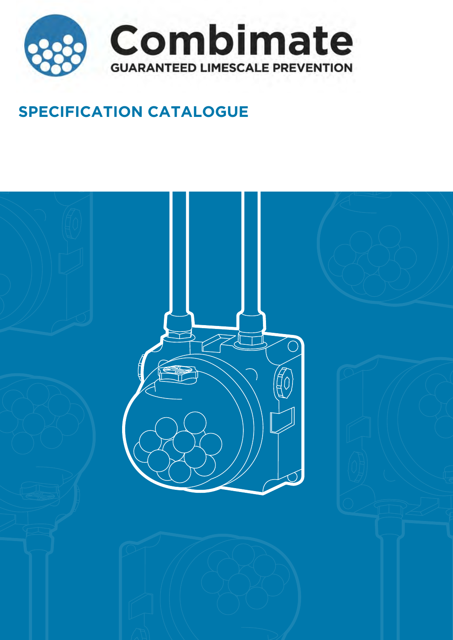

# **SPECIFICATION CATALOGUE**

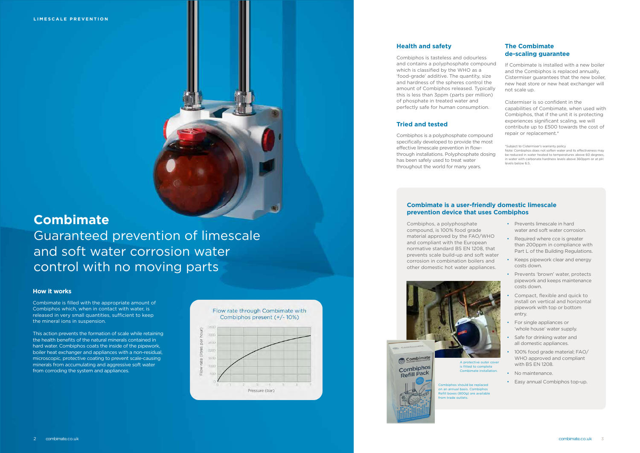# **Combimate** Guaranteed prevention of limescale and soft water corrosion water control with no moving parts

# **Health and safety**

Combiphos is tasteless and odourles and contains a polyphosphate compo which is classified by the WHO as a 'food-grade' additive. The quantity, si and hardness of the spheres control amount of Combiphos released. Typi this is less than 3ppm (parts per milliof phosphate in treated water and perfectly safe for human consumption

Combiphos is a polyphosphate compound specifically developed to provide the m effective limescale prevention in flowthrough installations. Polyphosphate do has been safely used to treat water throughout the world for many years.

# **Tried and tested**

| S                                  | <b>The Combimate</b><br>de-scaling guarantee                                                                                                                                                                                                  |
|------------------------------------|-----------------------------------------------------------------------------------------------------------------------------------------------------------------------------------------------------------------------------------------------|
| ound<br>ize<br>the<br>cally<br>on) | If Combimate is installed with a new boiler<br>and the Combiphos is replaced annually,<br>Cistermiser guarantees that the new boiler,<br>new heat store or new heat exchanger will<br>not scale up.                                           |
| n.                                 | Cistermiser is so confident in the<br>capabilities of Combimate, when used with<br>Combiphos, that if the unit it is protecting<br>experiences significant scaling, we will<br>contribute up to £500 towards the cost of                      |
| und<br>าost                        | repair or replacement.*                                                                                                                                                                                                                       |
| psing                              | *Subject to Cistermiser's warranty policy<br>Note: Combiphos does not soften water and its effectiveness may<br>be reduced in water heated to temperatures above 60 degrees,<br>in water with carbonate hardness levels above 360ppm or at pH |

levels below 6.5.

- Prevents limescale in hard water and soft water corrosion.
- Required where cce is greater than 200ppm in compliance with Part L of the Building Regulations.
- Keeps pipework clear and energy costs down.
- Prevents 'brown' water, protects pipework and keeps maintenance costs down.
- Compact, flexible and quick to install on vertical and horizontal pipework with top or bottom entry.
- For single appliances or 'whole house' water supply.
- Safe for drinking water and all domestic appliances.
- 100% food grade material; FAO/ WHO approved and compliant with BS FN 1208.
- No maintenance.
- Easy annual Combiphos top-up.



# **Combimate is a user-friendly domestic limescale prevention device that uses Combiphos**

Combiphos, a polyphosphate compound, is 100% food grade material approved by the FAO/WHO and compliant with the European normative standard BS EN 1208, that prevents scale build-up and soft water corrosion in combination boilers and other domestic hot water appliances.

## **How it works**

Combimate is filled with the appropriate amount of Combiphos which, when in contact with water, is released in very small quantities, sufficient to keep the mineral ions in suspension.

This action prevents the formation of scale while retaining the health benefits of the natural minerals contained in hard water. Combiphos coats the inside of the pipework, boiler heat exchanger and appliances with a non-residual, microscopic, protective coating to prevent scale-causing minerals from accumulating and aggressive soft water from corroding the system and appliances.





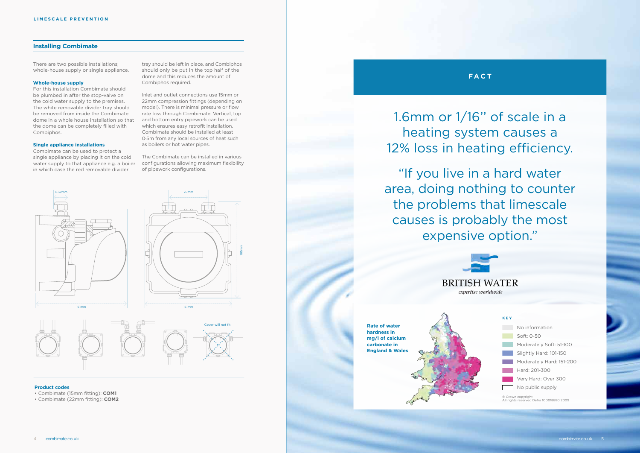# **Installing Combimate**

There are two possible installations; whole-house supply or single appliance.

#### **Whole-house supply**

For this installation Combimate should be plumbed in after the stop-valve on the cold water supply to the premises. The white removable divider tray should be removed from inside the Combimate dome in a whole house installation so that the dome can be completely filled with Combiphos.

### **Single appliance installations**

Combimate can be used to protect a single appliance by placing it on the cold water supply to that appliance e.g. a boiler in which case the red removable divider

tray should be left in place, and Combiphos should only be put in the top half of the dome and this reduces the amount of Combiphos required.

> No information oft: 0-50 oderately Soft: 51-100 ightly Hard: 101-150 oderately Hard: 151-200 ard: 201-300 ery Hard: Over 300 public supply

Inlet and outlet connections use 15mm or 22mm compression fittings (depending on model). There is minimal pressure or flow rate loss through Combimate. Vertical, top and bottom entry pipework can be used which ensures easy retrofit installation. Combimate should be installed at least 0·5m from any local sources of heat such as boilers or hot water pipes.

The Combimate can be installed in various configurations allowing maximum flexibility of pipework configurations.

165mm





#### **Product codes**

• Combimate (15mm fitting): **COM1**

• Combimate (22mm fitting): **COM2**

1.6mm or 1/16'' of scale in a heating system causes a 12% loss in heating efficiency.

**FACT**

"If you live in a hard water area, doing nothing to counter the problems that limescale causes is probably the most expensive option."



**Rate of water hardness in mg/l of calcium carbonate in England & Wales**

© Crown copyright All rights reserved Defra 100018880 2009

# **KEY**

|               | INO  |
|---------------|------|
|               | So   |
|               | Mo   |
|               | Slig |
| <b>The Co</b> | Mc   |
| maria de      | Ha   |
|               | Ve   |
|               | Nο   |